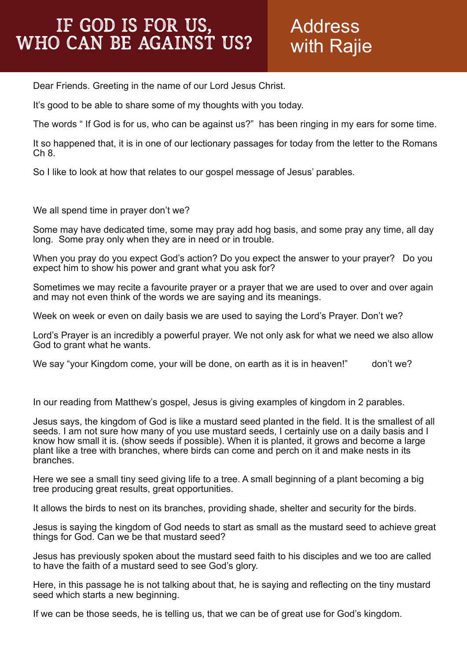## Address with Rajie

Dear Friends. Greeting in the name of our Lord Jesus Christ.

It's good to be able to share some of my thoughts with you today.

The words " If God is for us, who can be against us?" has been ringing in my ears for some time.

It so happened that, it is in one of our lectionary passages for today from the letter to the Romans Ch 8.

So I like to look at how that relates to our gospel message of Jesus' parables.

We all spend time in prayer don't we?

Some may have dedicated time, some may pray add hog basis, and some pray any time, all day long. Some pray only when they are in need or in trouble.

When you pray do you expect God's action? Do you expect the answer to your prayer? Do you expect him to show his power and grant what you ask for?

Sometimes we may recite a favourite prayer or a prayer that we are used to over and over again and may not even think of the words we are saying and its meanings.

Week on week or even on daily basis we are used to saying the Lord's Prayer. Don't we?

Lord's Prayer is an incredibly a powerful prayer. We not only ask for what we need we also allow God to grant what he wants.

We say "your Kingdom come, your will be done, on earth as it is in heaven!" don't we?

In our reading from Matthew's gospel, Jesus is giving examples of kingdom in 2 parables.

Jesus says, the kingdom of God is like a mustard seed planted in the field. It is the smallest of all seeds. I am not sure how many of you use mustard seeds, I certainly use on a daily basis and I know how small it is. (show seeds if possible). When it is planted, it grows and become a large plant like a tree with branches, where birds can come and perch on it and make nests in its branches.

Here we see a small tiny seed giving life to a tree. A small beginning of a plant becoming a big tree producing great results, great opportunities.

It allows the birds to nest on its branches, providing shade, shelter and security for the birds.

Jesus is saying the kingdom of God needs to start as small as the mustard seed to achieve great things for God. Can we be that mustard seed?

Jesus has previously spoken about the mustard seed faith to his disciples and we too are called to have the faith of a mustard seed to see God's glory.

Here, in this passage he is not talking about that, he is saying and reflecting on the tiny mustard seed which starts a new beginning.

If we can be those seeds, he is telling us, that we can be of great use for God's kingdom.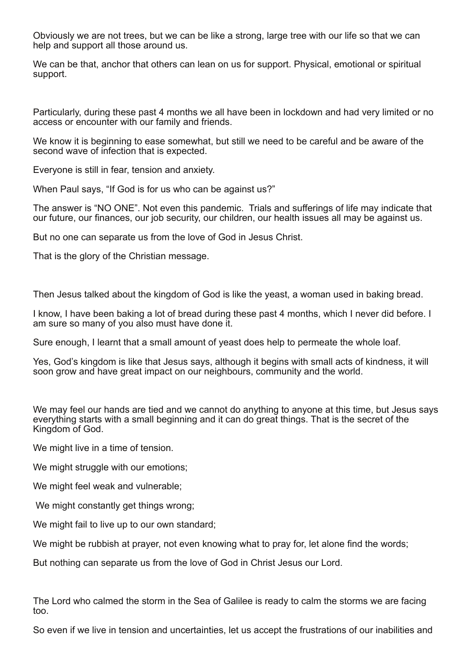Obviously we are not trees, but we can be like a strong, large tree with our life so that we can help and support all those around us.

We can be that, anchor that others can lean on us for support. Physical, emotional or spiritual support.

Particularly, during these past 4 months we all have been in lockdown and had very limited or no access or encounter with our family and friends.

We know it is beginning to ease somewhat, but still we need to be careful and be aware of the second wave of infection that is expected.

Everyone is still in fear, tension and anxiety.

When Paul says, "If God is for us who can be against us?"

The answer is "NO ONE". Not even this pandemic. Trials and sufferings of life may indicate that our future, our finances, our job security, our children, our health issues all may be against us.

But no one can separate us from the love of God in Jesus Christ.

That is the glory of the Christian message.

Then Jesus talked about the kingdom of God is like the yeast, a woman used in baking bread.

I know, I have been baking a lot of bread during these past 4 months, which I never did before. I am sure so many of you also must have done it.

Sure enough, I learnt that a small amount of yeast does help to permeate the whole loaf.

Yes, God's kingdom is like that Jesus says, although it begins with small acts of kindness, it will soon grow and have great impact on our neighbours, community and the world.

We may feel our hands are tied and we cannot do anything to anyone at this time, but Jesus says everything starts with a small beginning and it can do great things. That is the secret of the Kingdom of God.

We might live in a time of tension.

We might struggle with our emotions;

We might feel weak and vulnerable;

We might constantly get things wrong;

We might fail to live up to our own standard;

We might be rubbish at prayer, not even knowing what to pray for, let alone find the words;

But nothing can separate us from the love of God in Christ Jesus our Lord.

The Lord who calmed the storm in the Sea of Galilee is ready to calm the storms we are facing too.

So even if we live in tension and uncertainties, let us accept the frustrations of our inabilities and